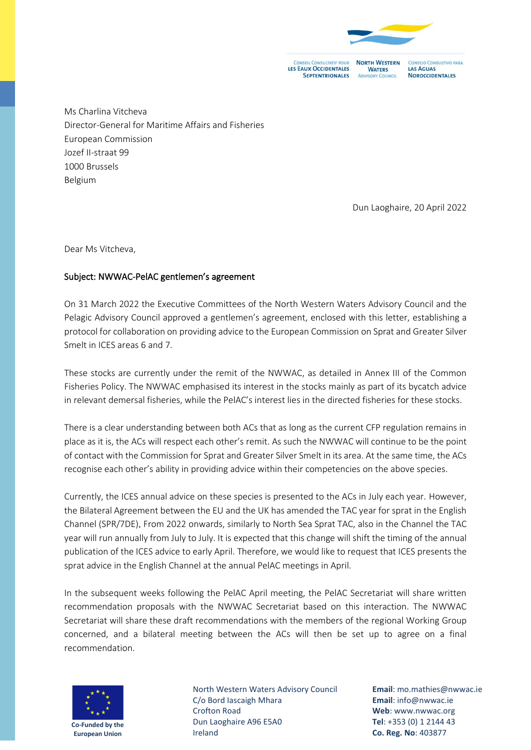

**LES EAUX OCCIDENTALES SEPTENTRIONALES** 

**NORTH WESTERN WATERS** LAS AGUAS **ADVISORY COUNCIL** 

NSEJO CONSULTIVO PARA **NOROCCIDENTALES** 

Ms Charlina Vitcheva Director-General for Maritime Affairs and Fisheries European Commission Jozef II-straat 99 1000 Brussels Belgium

Dun Laoghaire, 20 April 2022

Dear Ms Vitcheva,

## Subject: NWWAC-PelAC gentlemen's agreement

On 31 March 2022 the Executive Committees of the North Western Waters Advisory Council and the Pelagic Advisory Council approved a gentlemen's agreement, enclosed with this letter, establishing a protocol for collaboration on providing advice to the European Commission on Sprat and Greater Silver Smelt in ICES areas 6 and 7.

These stocks are currently under the remit of the NWWAC, as detailed in Annex III of the Common Fisheries Policy. The NWWAC emphasised its interest in the stocks mainly as part of its bycatch advice in relevant demersal fisheries, while the PelAC's interest lies in the directed fisheries for these stocks.

There is a clear understanding between both ACs that as long as the current CFP regulation remains in place as it is, the ACs will respect each other's remit. As such the NWWAC will continue to be the point of contact with the Commission for Sprat and Greater Silver Smelt in its area. At the same time, the ACs recognise each other's ability in providing advice within their competencies on the above species.

Currently, the ICES annual advice on these species is presented to the ACs in July each year. However, the Bilateral Agreement between the EU and the UK has amended the TAC year for sprat in the English Channel (SPR/7DE). From 2022 onwards, similarly to North Sea Sprat TAC, also in the Channel the TAC year will run annually from July to July. It is expected that this change will shift the timing of the annual publication of the ICES advice to early April. Therefore, we would like to request that ICES presents the sprat advice in the English Channel at the annual PelAC meetings in April.

In the subsequent weeks following the PelAC April meeting, the PelAC Secretariat will share written recommendation proposals with the NWWAC Secretariat based on this interaction. The NWWAC Secretariat will share these draft recommendations with the members of the regional Working Group concerned, and a bilateral meeting between the ACs will then be set up to agree on a final recommendation.



North Western Waters Advisory Council C/o Bord Iascaigh Mhara Crofton Road Dun Laoghaire A96 E5A0 Ireland

**Email**: mo.mathies@nwwac.ie **Email**: info@nwwac.ie **Web**: www.nwwac.org **Tel**: +353 (0) 1 2144 43 **Co. Reg. No**: 403877